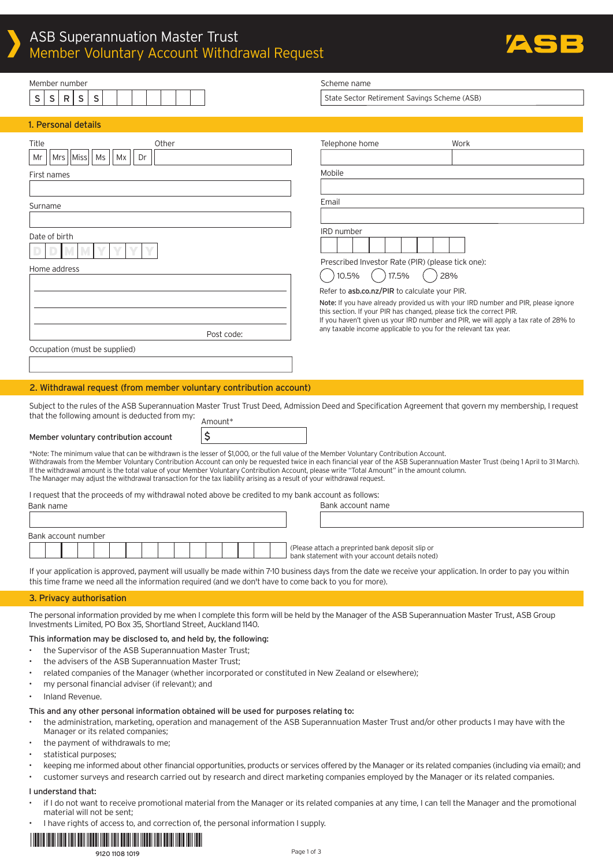

| Member number                                                                                                                                                                                                                                                                                                                 | Scheme name                                                                                                                                              |
|-------------------------------------------------------------------------------------------------------------------------------------------------------------------------------------------------------------------------------------------------------------------------------------------------------------------------------|----------------------------------------------------------------------------------------------------------------------------------------------------------|
| S<br>R<br>S<br>S<br>s                                                                                                                                                                                                                                                                                                         | State Sector Retirement Savings Scheme (ASB)                                                                                                             |
|                                                                                                                                                                                                                                                                                                                               |                                                                                                                                                          |
| 1. Personal details                                                                                                                                                                                                                                                                                                           |                                                                                                                                                          |
| Other<br>Title                                                                                                                                                                                                                                                                                                                | Telephone home<br>Work                                                                                                                                   |
| Mr<br>Mrs   Miss<br>Ms<br>Мx<br>Dr                                                                                                                                                                                                                                                                                            |                                                                                                                                                          |
| First names                                                                                                                                                                                                                                                                                                                   | Mobile                                                                                                                                                   |
|                                                                                                                                                                                                                                                                                                                               |                                                                                                                                                          |
| Surname                                                                                                                                                                                                                                                                                                                       | Email                                                                                                                                                    |
|                                                                                                                                                                                                                                                                                                                               |                                                                                                                                                          |
| Date of birth                                                                                                                                                                                                                                                                                                                 | <b>IRD</b> number                                                                                                                                        |
|                                                                                                                                                                                                                                                                                                                               |                                                                                                                                                          |
|                                                                                                                                                                                                                                                                                                                               | Prescribed Investor Rate (PIR) (please tick one):                                                                                                        |
| Home address                                                                                                                                                                                                                                                                                                                  | 10.5%<br>17.5%<br>28%                                                                                                                                    |
|                                                                                                                                                                                                                                                                                                                               | Refer to asb.co.nz/PIR to calculate your PIR.                                                                                                            |
|                                                                                                                                                                                                                                                                                                                               | Note: If you have already provided us with your IRD number and PIR, please ignore<br>this section. If your PIR has changed, please tick the correct PIR. |
|                                                                                                                                                                                                                                                                                                                               | If you haven't given us your IRD number and PIR, we will apply a tax rate of 28% to                                                                      |
| Post code:                                                                                                                                                                                                                                                                                                                    | any taxable income applicable to you for the relevant tax year.                                                                                          |
| Occupation (must be supplied)                                                                                                                                                                                                                                                                                                 |                                                                                                                                                          |
|                                                                                                                                                                                                                                                                                                                               |                                                                                                                                                          |
| 2. Withdrawal request (from member voluntary contribution account)                                                                                                                                                                                                                                                            |                                                                                                                                                          |
|                                                                                                                                                                                                                                                                                                                               |                                                                                                                                                          |
| Subject to the rules of the ASB Superannuation Master Trust Trust Deed, Admission Deed and Specification Agreement that govern my membership, I request<br>that the following amount is deducted from my:                                                                                                                     |                                                                                                                                                          |
| Amount*                                                                                                                                                                                                                                                                                                                       |                                                                                                                                                          |
| \$<br>Member voluntary contribution account                                                                                                                                                                                                                                                                                   |                                                                                                                                                          |
| *Note: The minimum value that can be withdrawn is the lesser of \$1,000, or the full value of the Member Voluntary Contribution Account.<br>Withdrawals from the Member Voluntary Contribution Account can only be requested twice in each financial year of the ASB Superannuation Master Trust (being 1 April to 31 March). |                                                                                                                                                          |
| If the withdrawal amount is the total value of your Member Voluntary Contribution Account, please write "Total Amount" in the amount column.                                                                                                                                                                                  |                                                                                                                                                          |
| The Manager may adjust the withdrawal transaction for the tax liability arising as a result of your withdrawal request.                                                                                                                                                                                                       |                                                                                                                                                          |
| I request that the proceeds of my withdrawal noted above be credited to my bank account as follows:<br>Bank name                                                                                                                                                                                                              | Bank account name                                                                                                                                        |
|                                                                                                                                                                                                                                                                                                                               |                                                                                                                                                          |
| Bank account number                                                                                                                                                                                                                                                                                                           |                                                                                                                                                          |
|                                                                                                                                                                                                                                                                                                                               | (Please attach a preprinted bank deposit slip or                                                                                                         |
|                                                                                                                                                                                                                                                                                                                               | bank statement with your account details noted)                                                                                                          |
| If your application is approved, payment will usually be made within 7-10 business days from the date we receive your application. In order to pay you within                                                                                                                                                                 |                                                                                                                                                          |
| this time frame we need all the information required (and we don't have to come back to you for more).                                                                                                                                                                                                                        |                                                                                                                                                          |
| 3. Privacy authorisation                                                                                                                                                                                                                                                                                                      |                                                                                                                                                          |
| The personal information provided by me when I complete this form will be held by the Manager of the ASB Superannuation Master Trust, ASB Group<br>Investments Limited, PO Box 35, Shortland Street, Auckland 1140.                                                                                                           |                                                                                                                                                          |
| This information may be disclosed to, and held by, the following:                                                                                                                                                                                                                                                             |                                                                                                                                                          |
| the Supervisor of the ASB Superannuation Master Trust;<br>the advisers of the ASB Superannuation Master Trust;                                                                                                                                                                                                                |                                                                                                                                                          |
| related companies of the Manager (whether incorporated or constituted in New Zealand or elsewhere);                                                                                                                                                                                                                           |                                                                                                                                                          |
| my personal financial adviser (if relevant); and                                                                                                                                                                                                                                                                              |                                                                                                                                                          |
| Inland Revenue.                                                                                                                                                                                                                                                                                                               |                                                                                                                                                          |
| This and any other personal information obtained will be used for purposes relating to:                                                                                                                                                                                                                                       |                                                                                                                                                          |
| the administration, marketing, operation and management of the ASB Superannuation Master Trust and/or other products I may have with the<br>Manager or its related companies;                                                                                                                                                 |                                                                                                                                                          |

- the payment of withdrawals to me;
- statistical purposes;
- keeping me informed about other financial opportunities, products or services offered by the Manager or its related companies (including via email); and
- customer surveys and research carried out by research and direct marketing companies employed by the Manager or its related companies.

#### I understand that:

- if I do not want to receive promotional material from the Manager or its related companies at any time, I can tell the Manager and the promotional material will not be sent;
- I have rights of access to, and correction of, the personal information I supply.

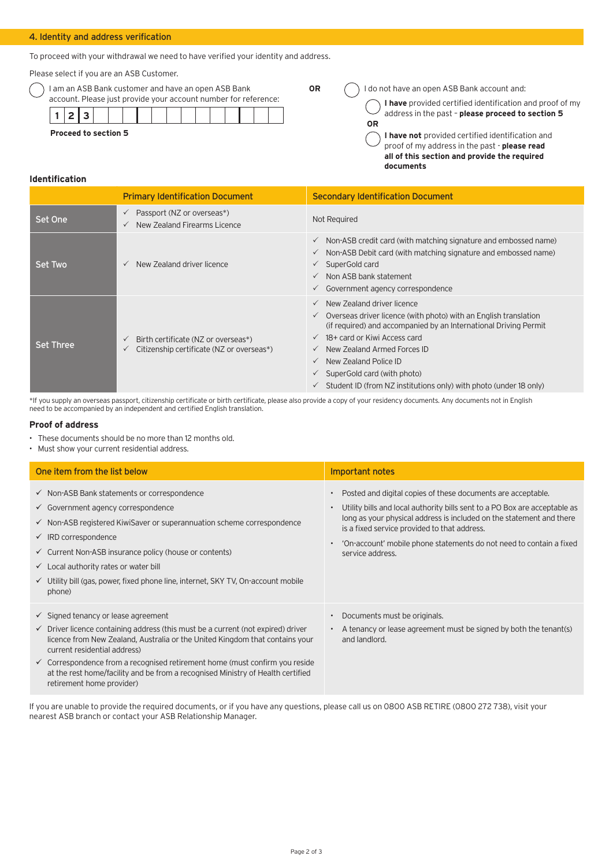## 4. Identity and address verification

To proceed with your withdrawal we need to have verified your identity and address.

Please select if you are an ASB Customer.

| ) I am an ASB Bank customer and have an open ASB Bank           |
|-----------------------------------------------------------------|
| account. Please just provide your account number for reference: |

| <b>Proceed to section 5</b> |  |  |  |  |  |  |  |
|-----------------------------|--|--|--|--|--|--|--|

**OR**

**OR** 1do not have an open ASB Bank account and:

**I have** provided certified identification and proof of my address in the past – **please proceed to section 5** 

**I have not** provided certified identification and proof of my address in the past - **please read all of this section and provide the required documents**

## **Identification**

|                  | <b>Primary Identification Document</b>                                                           | <b>Secondary Identification Document</b>                                                                                                                                                                                                                                                                                                                                                                                                                        |
|------------------|--------------------------------------------------------------------------------------------------|-----------------------------------------------------------------------------------------------------------------------------------------------------------------------------------------------------------------------------------------------------------------------------------------------------------------------------------------------------------------------------------------------------------------------------------------------------------------|
| Set One          | Passport (NZ or overseas*)<br>$\checkmark$<br>New Zealand Firearms Licence                       | Not Required                                                                                                                                                                                                                                                                                                                                                                                                                                                    |
| Set Two          | New Zealand driver licence<br>$\checkmark$                                                       | $\checkmark$ Non-ASB credit card (with matching signature and embossed name)<br>Non-ASB Debit card (with matching signature and embossed name)<br>$\checkmark$<br>SuperGold card<br>$\checkmark$<br>Non ASB bank statement<br>$\checkmark$<br>$\checkmark$ Government agency correspondence                                                                                                                                                                     |
| <b>Set Three</b> | Birth certificate (NZ or overseas*)<br>Citizenship certificate (NZ or overseas*)<br>$\checkmark$ | $\checkmark$ New Zealand driver licence<br>$\checkmark$ Overseas driver licence (with photo) with an English translation<br>(if required) and accompanied by an International Driving Permit<br>$\checkmark$ 18+ card or Kiwi Access card<br>New Zealand Armed Forces ID<br>$\checkmark$<br>New Zealand Police ID<br>$\checkmark$<br>$\checkmark$ SuperGold card (with photo)<br>$\checkmark$ Student ID (from NZ institutions only) with photo (under 18 only) |

\*If you supply an overseas passport, citizenship certificate or birth certificate, please also provide a copy of your residency documents. Any documents not in English need to be accompanied by an independent and certified English translation.

## **Proof of address**

- These documents should be no more than 12 months old.
- Must show your current residential address.

| One item from the list below                                                                                                                                                                                                                                                                                                                                                                                                                                            | Important notes                                                                                                                                                                                                                                                                                                                                               |
|-------------------------------------------------------------------------------------------------------------------------------------------------------------------------------------------------------------------------------------------------------------------------------------------------------------------------------------------------------------------------------------------------------------------------------------------------------------------------|---------------------------------------------------------------------------------------------------------------------------------------------------------------------------------------------------------------------------------------------------------------------------------------------------------------------------------------------------------------|
| $\checkmark$ Non-ASB Bank statements or correspondence<br>$\checkmark$ Government agency correspondence<br>$\checkmark$ Non-ASB registered KiwiSaver or superannuation scheme correspondence<br>$\checkmark$ IRD correspondence<br>$\checkmark$ Current Non-ASB insurance policy (house or contents)<br>$\checkmark$ Local authority rates or water bill<br>$\checkmark$ Utility bill (gas, power, fixed phone line, internet, SKY TV, On-account mobile<br>phone)      | Posted and digital copies of these documents are acceptable.<br>Utility bills and local authority bills sent to a PO Box are acceptable as<br>long as your physical address is included on the statement and there<br>is a fixed service provided to that address.<br>'On-account' mobile phone statements do not need to contain a fixed<br>service address. |
| $\checkmark$ Signed tenancy or lease agreement<br>$\checkmark$ Driver licence containing address (this must be a current (not expired) driver<br>licence from New Zealand, Australia or the United Kingdom that contains your<br>current residential address)<br>$\checkmark$ Correspondence from a recognised retirement home (must confirm you reside<br>at the rest home/facility and be from a recognised Ministry of Health certified<br>retirement home provider) | Documents must be originals.<br>A tenancy or lease agreement must be signed by both the tenant(s)<br>and landlord.                                                                                                                                                                                                                                            |

If you are unable to provide the required documents, or if you have any questions, please call us on 0800 ASB RETIRE (0800 272 738), visit your nearest ASB branch or contact your ASB Relationship Manager.